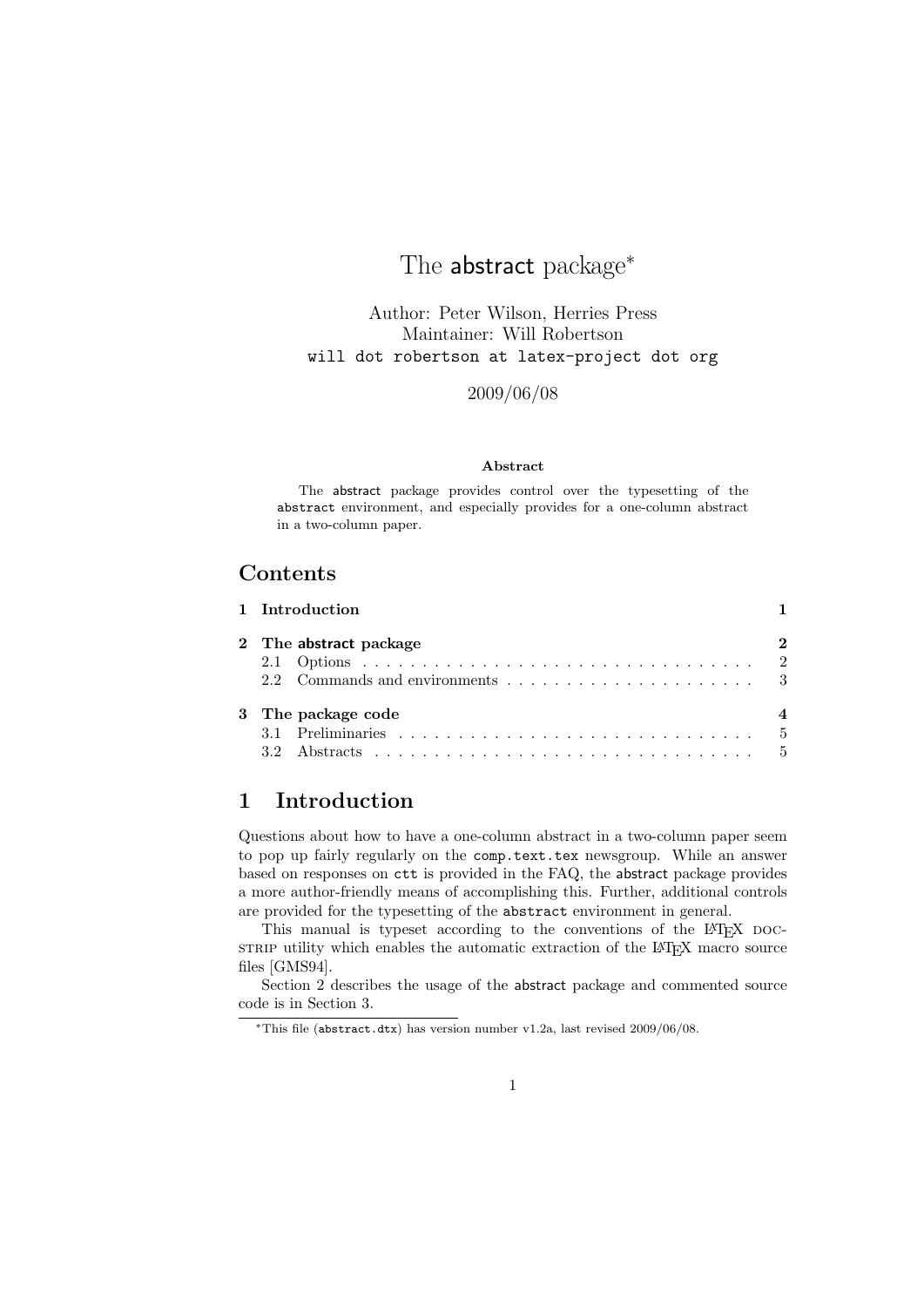# The abstract package<sup>\*</sup>

Author: Peter Wilson, Herries Press Maintainer: Will Robertson will dot robertson at latex-project dot org

2009/06/08

### Abstract

The abstract package provides control over the typesetting of the abstract environment, and especially provides for a one-column abstract in a two-column paper.

## Contents

| 1 Introduction         |   |
|------------------------|---|
| 2 The abstract package | 2 |
|                        |   |
| 3 The package code     |   |
|                        |   |

# 1 Introduction

Questions about how to have a one-column abstract in a two-column paper seem to pop up fairly regularly on the comp.text.tex newsgroup. While an answer based on responses on ctt is provided in the FAQ, the abstract package provides a more author-friendly means of accomplishing this. Further, additional controls are provided for the typesetting of the abstract environment in general.

This manual is typeset according to the conventions of the L<sup>AT</sup>EX DOCsTRIP utility which enables the automatic extraction of the L<sup>AT</sup>EX macro source files [GMS94].

Section 2 describes the usage of the abstract package and commented source code is in Section 3.

<sup>∗</sup>This file (abstract.dtx) has version number v1.2a, last revised 2009/06/08.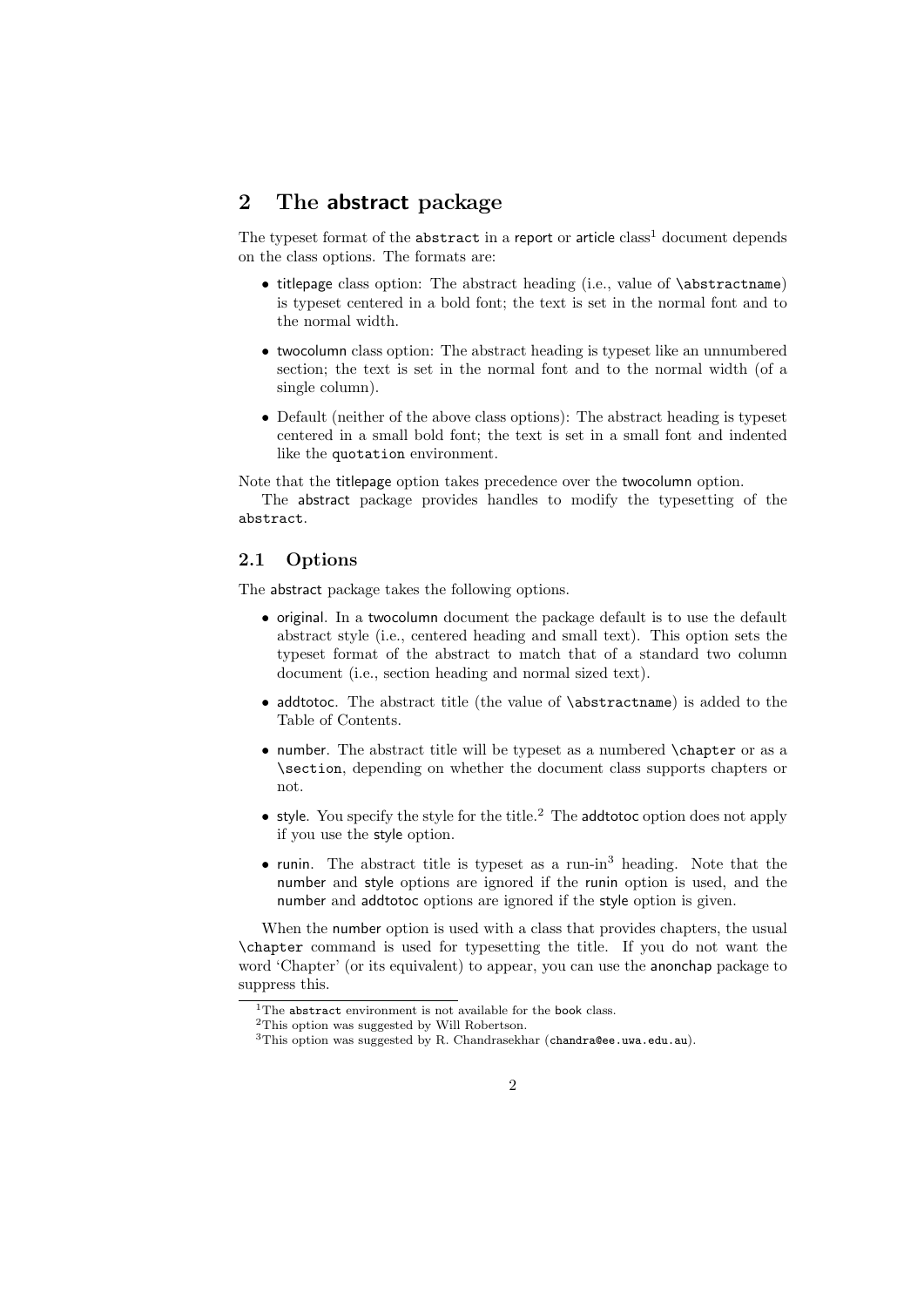## 2 The abstract package

The typeset format of the abstract in a report or article  $class<sup>1</sup>$  document depends on the class options. The formats are:

- titlepage class option: The abstract heading (i.e., value of \abstractname) is typeset centered in a bold font; the text is set in the normal font and to the normal width.
- twocolumn class option: The abstract heading is typeset like an unnumbered section; the text is set in the normal font and to the normal width (of a single column).
- Default (neither of the above class options): The abstract heading is typeset centered in a small bold font; the text is set in a small font and indented like the quotation environment.

Note that the titlepage option takes precedence over the twocolumn option.

The abstract package provides handles to modify the typesetting of the abstract.

### 2.1 Options

The abstract package takes the following options.

- original. In a twocolumn document the package default is to use the default abstract style (i.e., centered heading and small text). This option sets the typeset format of the abstract to match that of a standard two column document (i.e., section heading and normal sized text).
- addtotoc. The abstract title (the value of \abstractname) is added to the Table of Contents.
- number. The abstract title will be typeset as a numbered \chapter or as a \section, depending on whether the document class supports chapters or not.
- style. You specify the style for the title.<sup>2</sup> The addtotoc option does not apply if you use the style option.
- runin. The abstract title is typeset as a run-in<sup>3</sup> heading. Note that the number and style options are ignored if the runin option is used, and the number and addtotoc options are ignored if the style option is given.

When the number option is used with a class that provides chapters, the usual \chapter command is used for typesetting the title. If you do not want the word 'Chapter' (or its equivalent) to appear, you can use the anonchap package to suppress this.

 $1$ The abstract environment is not available for the book class.

<sup>2</sup>This option was suggested by Will Robertson.

<sup>&</sup>lt;sup>3</sup>This option was suggested by R. Chandrasekhar (chandra@ee.uwa.edu.au).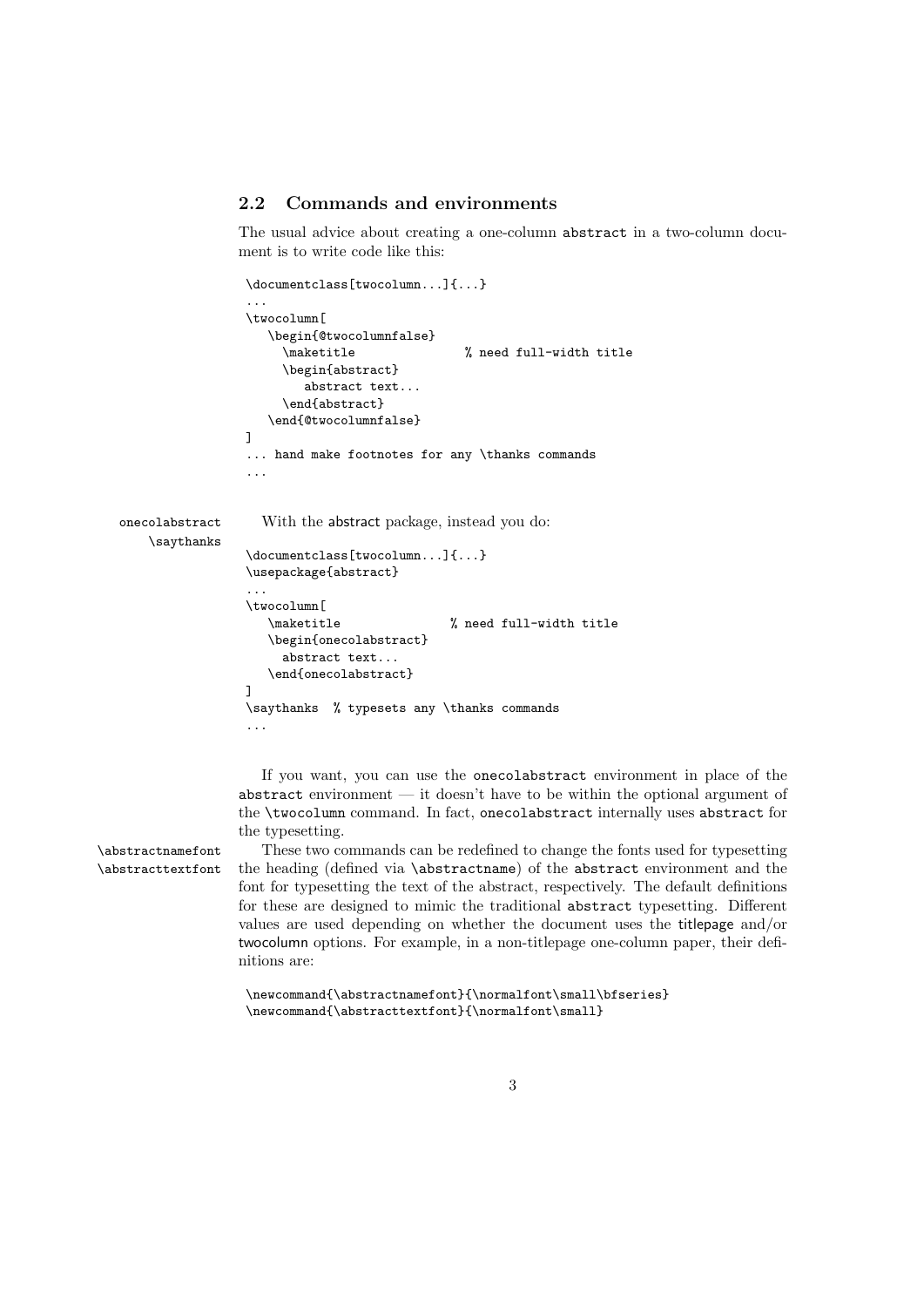## 2.2 Commands and environments

The usual advice about creating a one-column abstract in a two-column document is to write code like this:

```
\documentclass[twocolumn...]{...}
                 ...
                \twocolumn[
                   \begin{@twocolumnfalse}
                     \maketitle % need full-width title
                     \begin{abstract}
                        abstract text...
                     \end{abstract}
                   \end{@twocolumnfalse}
                ]
                ... hand make footnotes for any \thanks commands
                ...
onecolabstract With the abstract package, instead you do:
   \saythanks
                \documentclass[twocolumn...]{...}
                \usepackage{abstract}
                 ...
                \twocolumn[
                   \maketitle % need full-width title
                   \begin{onecolabstract}
                     abstract text...
                   \end{onecolabstract}
                ]
                \saythanks % typesets any \thanks commands
                 ...
```
If you want, you can use the onecolabstract environment in place of the abstract environment — it doesn't have to be within the optional argument of the \twocolumn command. In fact, onecolabstract internally uses abstract for the typesetting.

\abstractnamefont These two commands can be redefined to change the fonts used for typesetting \abstracttextfont the heading (defined via \abstractname) of the abstract environment and the font for typesetting the text of the abstract, respectively. The default definitions for these are designed to mimic the traditional abstract typesetting. Different values are used depending on whether the document uses the titlepage and/or twocolumn options. For example, in a non-titlepage one-column paper, their definitions are:

```
\newcommand{\abstractnamefont}{\normalfont\small\bfseries}
\verb+\newcommand{\abstracttext+cont}{\normalfont\small\textrm{small}}
```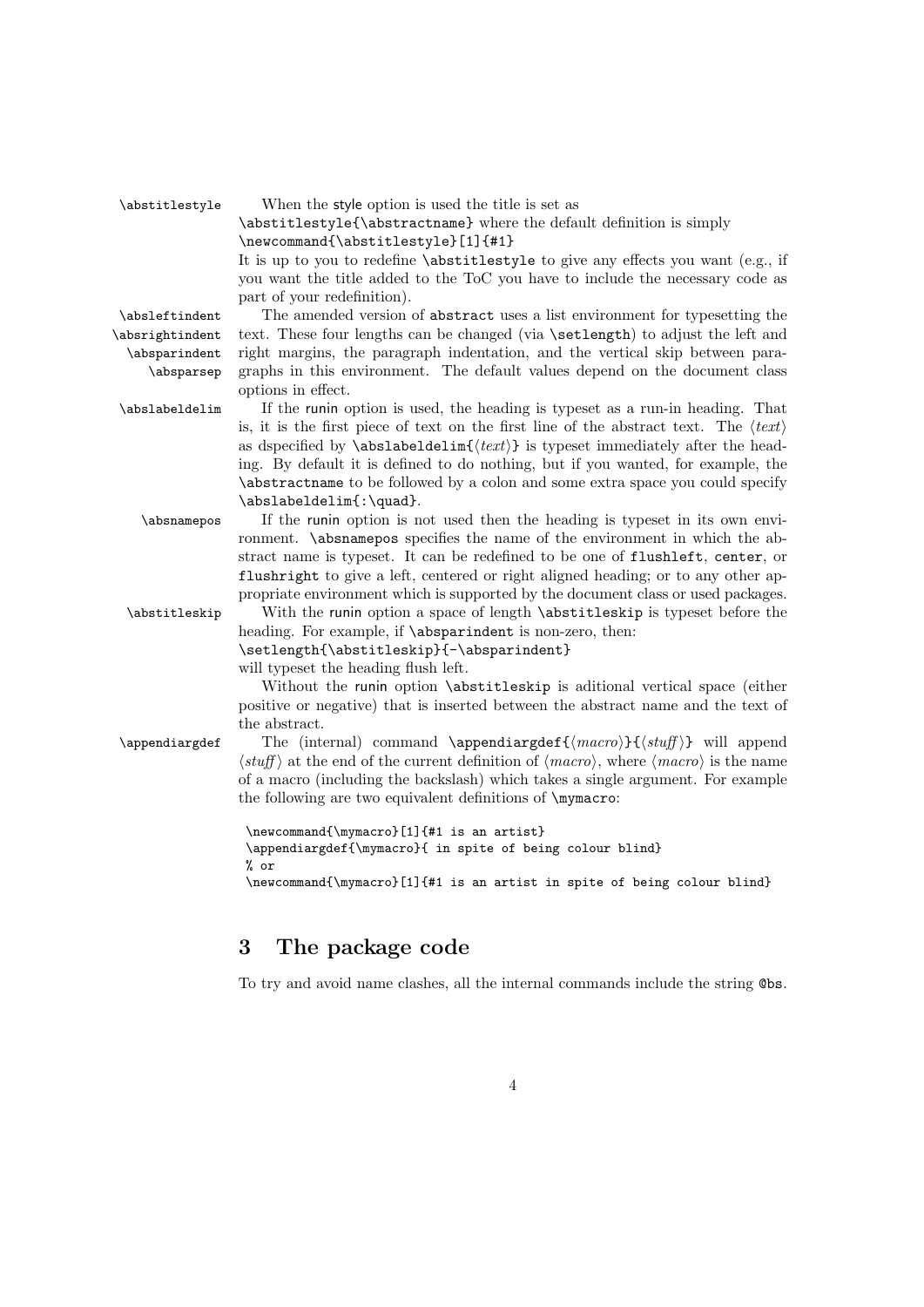| \abstitlestyle  | When the style option is used the title is set as                                                                          |
|-----------------|----------------------------------------------------------------------------------------------------------------------------|
|                 | \abstitlestyle{\abstractname} where the default definition is simply                                                       |
|                 | \newcommand{\abstitlestyle}[1]{#1}                                                                                         |
|                 | It is up to you to redefine \abstitlestyle to give any effects you want (e.g., if                                          |
|                 | you want the title added to the ToC you have to include the necessary code as                                              |
|                 | part of your redefinition).                                                                                                |
| \absleftindent  | The amended version of abstract uses a list environment for typesetting the                                                |
| \absrightindent | text. These four lengths can be changed (via \setlength) to adjust the left and                                            |
| \absparindent   | right margins, the paragraph indentation, and the vertical skip between para-                                              |
| \absparsep      | graphs in this environment. The default values depend on the document class                                                |
|                 | options in effect.                                                                                                         |
| \abslabeldelim  | If the runin option is used, the heading is typeset as a run-in heading. That                                              |
|                 | is, it is the first piece of text on the first line of the abstract text. The $\langle text \rangle$                       |
|                 | as dspecified by $\ab{$ <i>sbslabeldelim</i> { $\text{}(text)$ } is typeset immediately after the head-                    |
|                 | ing. By default it is defined to do nothing, but if you wanted, for example, the                                           |
|                 | \abstractname to be followed by a colon and some extra space you could specify                                             |
|                 | \abslabeldelim{:\quad}.                                                                                                    |
| \absnamepos     | If the runin option is not used then the heading is typeset in its own envi-                                               |
|                 | ronment. \absnamepos specifies the name of the environment in which the ab-                                                |
|                 | stract name is typeset. It can be redefined to be one of flushleft, center, or                                             |
|                 | flushright to give a left, centered or right aligned heading; or to any other ap-                                          |
|                 | propriate environment which is supported by the document class or used packages.                                           |
| \abstitleskip   | With the runin option a space of length \abstitleskip is typeset before the                                                |
|                 | heading. For example, if \absparindent is non-zero, then:                                                                  |
|                 | \setlength{\abstitleskip}{-\absparindent}                                                                                  |
|                 | will typeset the heading flush left.                                                                                       |
|                 | Without the runin option \abstitleskip is aditional vertical space (either                                                 |
|                 | positive or negative) that is inserted between the abstract name and the text of                                           |
|                 | the abstract.                                                                                                              |
| \appendiargdef  | The (internal) command \appendiargdef{ $\langle macro\rangle$ }{ $\langle stuff\rangle$ } will append                      |
|                 | $\langle$ stuff) at the end of the current definition of $\langle macro\rangle$ , where $\langle macro\rangle$ is the name |
|                 | of a macro (including the backslash) which takes a single argument. For example                                            |
|                 | the following are two equivalent definitions of \mymacro:                                                                  |
|                 | \newcommand{\mymacro}[1]{#1 is an artist}                                                                                  |
|                 | \appendiargdef{\mymacro}{ in spite of being colour blind}                                                                  |
|                 | % or                                                                                                                       |
|                 | \newcommand{\mymacro}[1]{#1 is an artist in spite of being colour blind}                                                   |
|                 |                                                                                                                            |

# 3 The package code

To try and avoid name clashes, all the internal commands include the string @bs.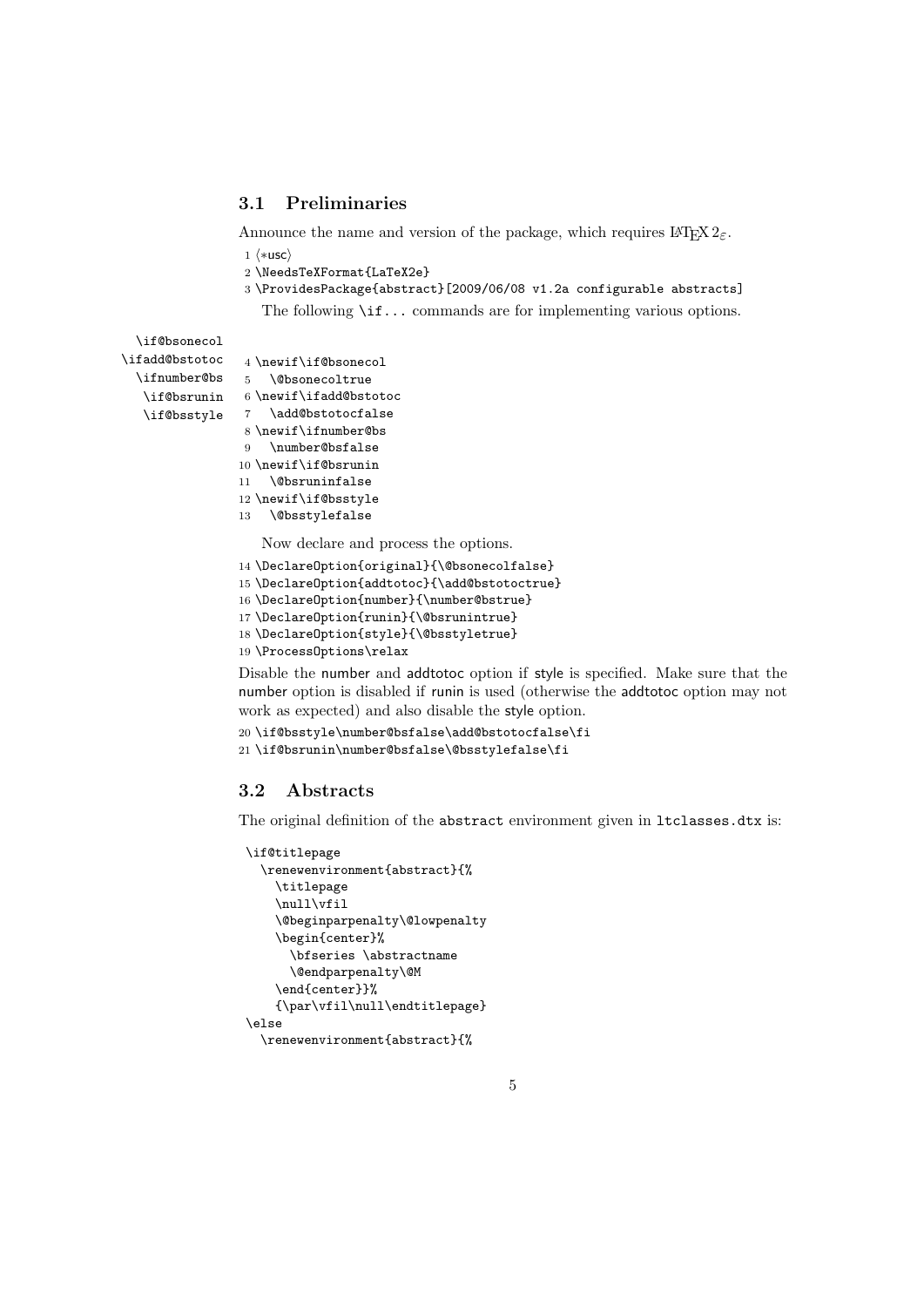## 3.1 Preliminaries

Announce the name and version of the package, which requires  $\text{LATEX } 2_{\epsilon}$ .

- 1  $\langle \ast \textsf{usc} \rangle$
- 2 \NeedsTeXFormat{LaTeX2e}
- 3 \ProvidesPackage{abstract}[2009/06/08 v1.2a configurable abstracts]

The following \if... commands are for implementing various options.

\if@bsonecol \ifadd@bstotoc \ifnumber@bs \if@bsstyle

```
\if@bsrunin 6\newif\ifadd@bstotoc
             4 \newif\if@bsonecol
            5 \@bsonecoltrue
            7 \add@bstotocfalse
             8 \newif\ifnumber@bs
             9 \number@bsfalse
            10 \newif\if@bsrunin
            11 \@bsruninfalse
            12 \newif\if@bsstyle
            13 \@bsstylefalse
                Now declare and process the options.
            14 \DeclareOption{original}{\@bsonecolfalse}
            15 \DeclareOption{addtotoc}{\add@bstotoctrue}
            16 \DeclareOption{number}{\number@bstrue}
```
- 17 \DeclareOption{runin}{\@bsrunintrue}
- 18 \DeclareOption{style}{\@bsstyletrue}
- 19 \ProcessOptions\relax

Disable the number and addtotoc option if style is specified. Make sure that the number option is disabled if runin is used (otherwise the addtotoc option may not work as expected) and also disable the style option.

```
20 \if@bsstyle\number@bsfalse\add@bstotocfalse\fi
21 \if@bsrunin\number@bsfalse\@bsstylefalse\fi
```
### 3.2 Abstracts

The original definition of the abstract environment given in ltclasses.dtx is:

```
\if@titlepage
 \renewenvironment{abstract}{%
   \titlepage
   \null\vfil
   \@beginparpenalty\@lowpenalty
   \begin{center}%
      \bfseries \abstractname
      \@endparpenalty\@M
    \end{center}}%
   {\par\vfil\null\endtitlepage}
\else
 \renewenvironment{abstract}{%
```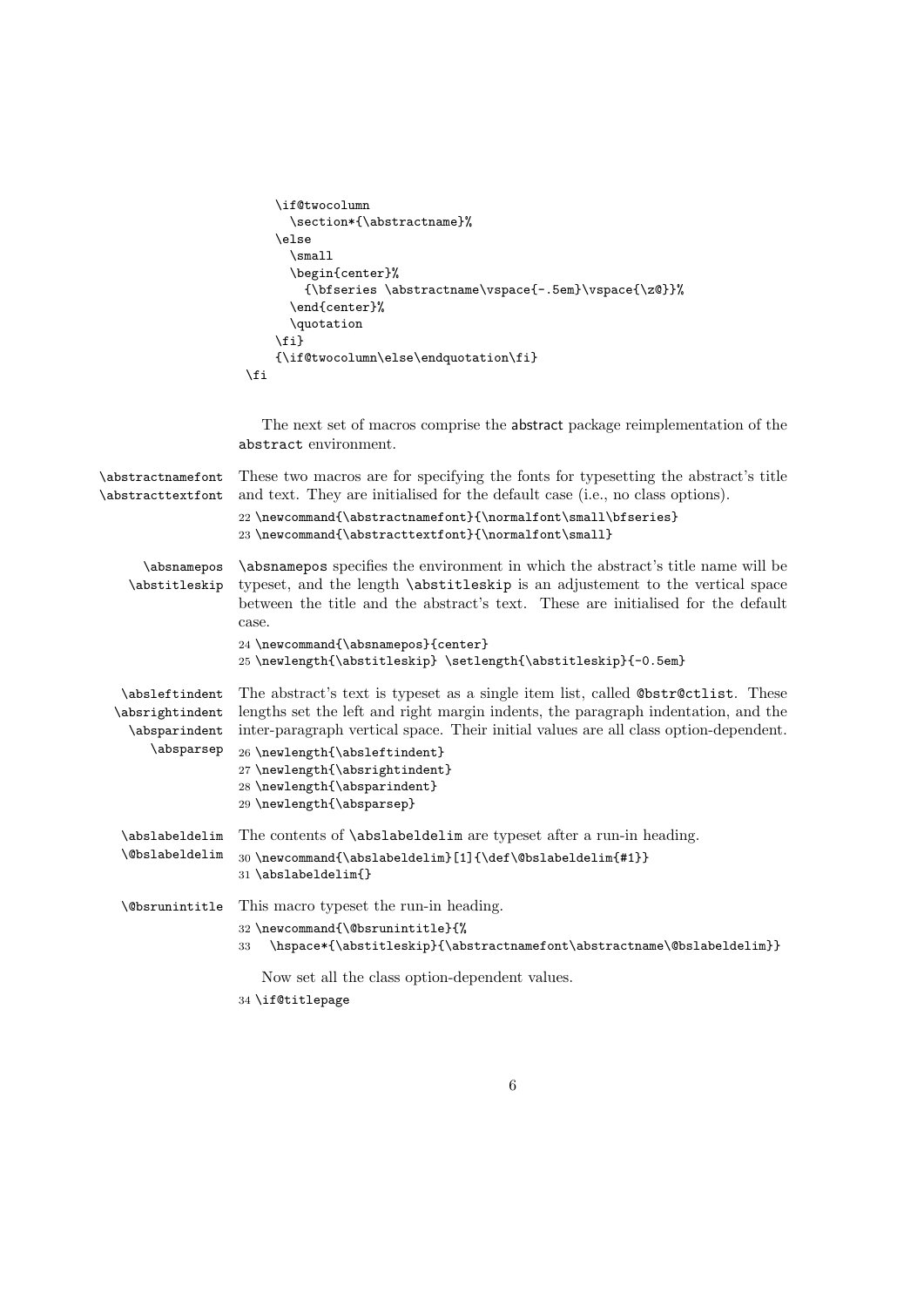```
\if@twocolumn
     \section*{\abstractname}%
   \else
     \small
     \begin{center}%
       {\bfseries \abstractname\vspace{-.5em}\vspace{\z@}}%
     \end{center}%
     \quotation
   \verb|\fi{\label{thm:ls} $$\fi
```
The next set of macros comprise the abstract package reimplementation of the abstract environment.

| \abstractnamefont<br>\abstracttextfont                           | These two macros are for specifying the fonts for typesetting the abstract's title<br>and text. They are initialised for the default case (i.e., no class options).<br>22\newcommand{\abstractnamefont}{\normalfont\small\bfseries}<br>23\newcommand{\abstracttextfont}{\normalfont\small}                                                                                                    |
|------------------------------------------------------------------|-----------------------------------------------------------------------------------------------------------------------------------------------------------------------------------------------------------------------------------------------------------------------------------------------------------------------------------------------------------------------------------------------|
| \absnamepos<br>\abstitleskip                                     | \absnamepos specifies the environment in which the abstract's title name will be<br>typeset, and the length \abstitleskip is an adjustement to the vertical space<br>between the title and the abstract's text. These are initialised for the default<br>case.<br>24 \newcommand{\absnamepos}{center}<br>25\newlength{\abstitleskip} \setlength{\abstitleskip}{-0.5em}                        |
| \absleftindent<br>\absrightindent<br>\absparindent<br>\absparsep | The abstract's text is typeset as a single item list, called @bstr@ctlist. These<br>lengths set the left and right margin indents, the paragraph indentation, and the<br>inter-paragraph vertical space. Their initial values are all class option-dependent.<br>26 \newlength{\absleftindent}<br>27 \newlength{\absrightindent}<br>28 \newlength{\absparindent}<br>29 \newlength{\absparsep} |
| \abslabeldelim                                                   | The contents of <i>\abslabeldelim</i> are typeset after a run-in heading.                                                                                                                                                                                                                                                                                                                     |
| <i><b>\@bslabeldelim</b></i>                                     | 30\newcommand{\abslabeldelim}[1]{\def\@bslabeldelim{#1}}<br>31 \abslabeldelim{}                                                                                                                                                                                                                                                                                                               |
| <b>\@bsrunintitle</b>                                            | This macro typeset the run-in heading.                                                                                                                                                                                                                                                                                                                                                        |
|                                                                  | 32 \newcommand{\@bsrunintitle}{%<br>\hspace*{\abstitleskip}{\abstractnamefont\abstractname\@bslabeldelim}}<br>33                                                                                                                                                                                                                                                                              |
|                                                                  | Now set all the class option-dependent values.                                                                                                                                                                                                                                                                                                                                                |

34 \if@titlepage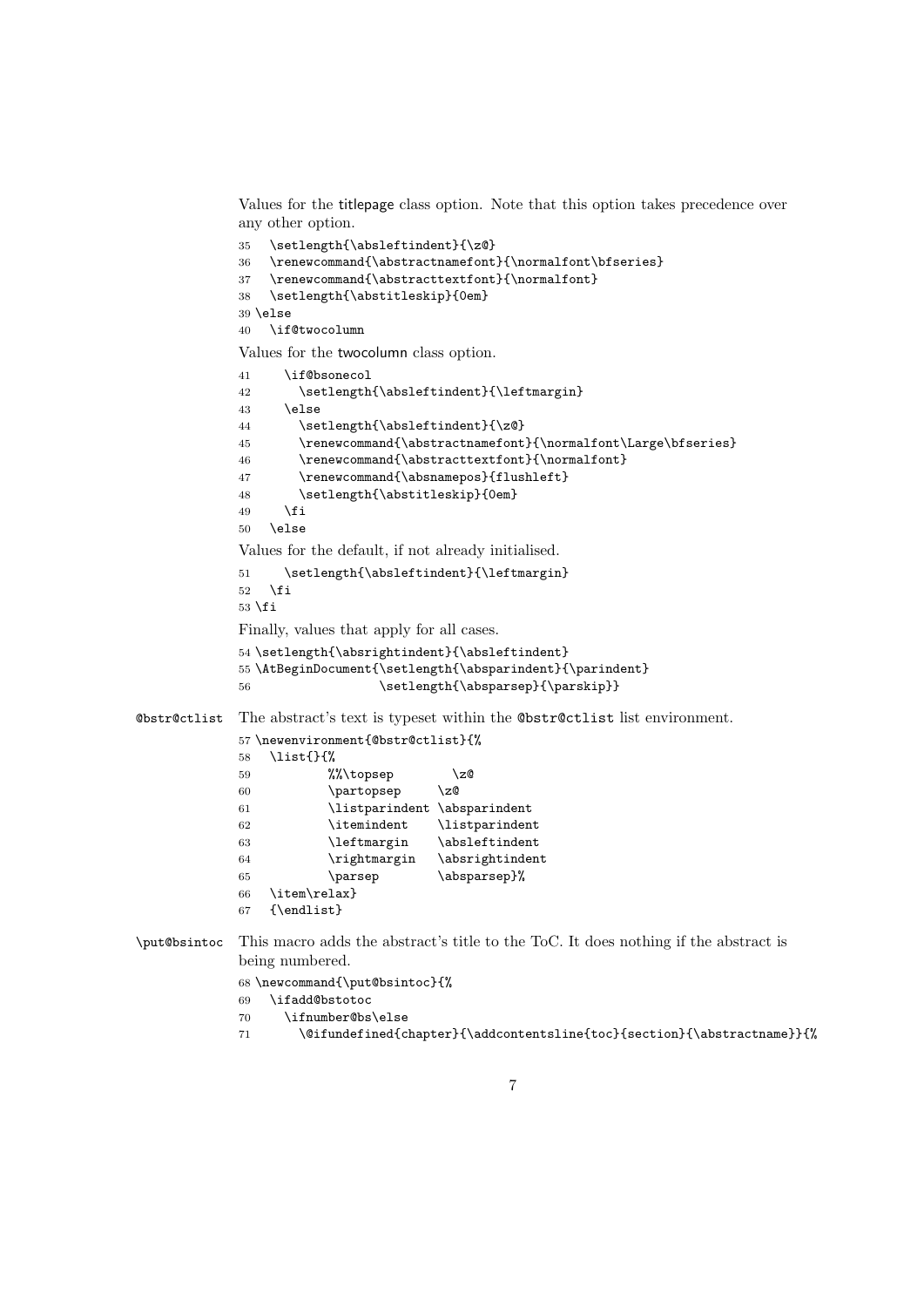Values for the titlepage class option. Note that this option takes precedence over any other option.

35 \setlength{\absleftindent}{\z@} 36 \renewcommand{\abstractnamefont}{\normalfont\bfseries} 37 \renewcommand{\abstracttextfont}{\normalfont}

38 \setlength{\abstitleskip}{0em}

39 \else

40 \if@twocolumn

Values for the twocolumn class option.

```
41 \if@bsonecol
             42 \setlength{\absleftindent}{\leftmargin}
             43 \else
             44 \setlength{\absleftindent}{\z@}
             45 \renewcommand{\abstractnamefont}{\normalfont\Large\bfseries}
             46 \renewcommand{\abstracttextfont}{\normalfont}
             47 \renewcommand{\absnamepos}{flushleft}
             48 \setlength{\abstitleskip}{0em}
             49 \fi
             50 \else
             Values for the default, if not already initialised.
             51 \setlength{\absleftindent}{\leftmargin}
             52 \overline{\ }53 \overline{53}Finally, values that apply for all cases.
             54 \setlength{\absrightindent}{\absleftindent}
             55 \AtBeginDocument{\setlength{\absparindent}{\parindent}
             56 \setlength{\absparsep}{\parskip}}
@bstr@ctlist The abstract's text is typeset within the @bstr@ctlist list environment.
             57 \newenvironment{@bstr@ctlist}{%
             58 \list{}{%
             59 \% \to \csc \zQ<br>60 \partopsep \zQ
             60 \partopsep
             61 \listparindent \absparindent
             62 \itemindent \listparindent
             63 \leftmargin \absleftindent
             64 \rightmargin \absrightindent
             65 \parsep \absparsep}%
             66 \item\relax}
             67 {\endlist}
\put@bsintoc This macro adds the abstract's title to the ToC. It does nothing if the abstract is
             being numbered.
             68 \newcommand{\put@bsintoc}{%
             69 \ifadd@bstotoc
             70 \ifnumber@bs\else
```
71 \@ifundefined{chapter}{\addcontentsline{toc}{section}{\abstractname}}{%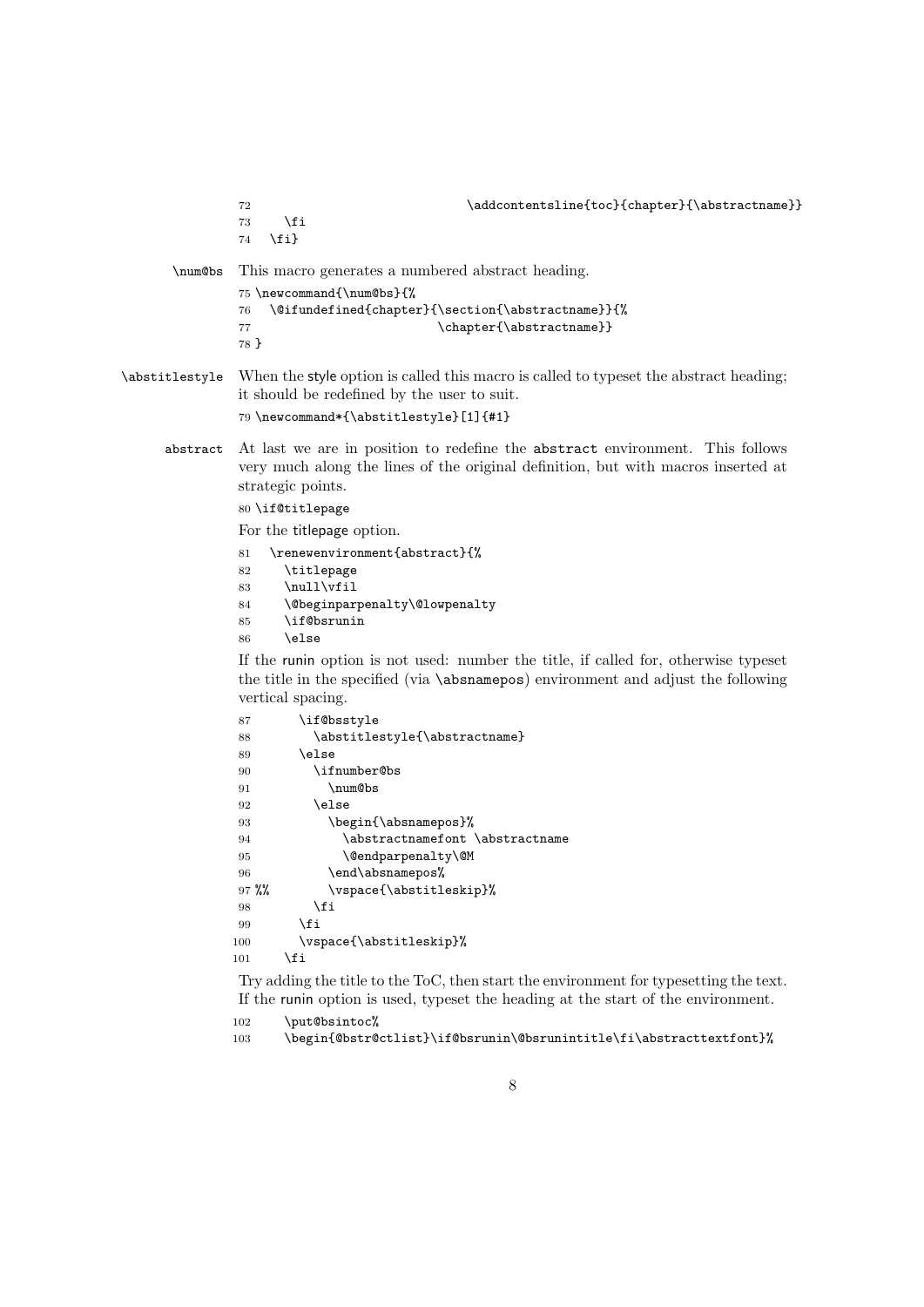|                | \addcontentsline{toc}{chapter}{\abstractname}}<br>72<br>\fi<br>73<br>$\{fi\}$<br>74                                                                                                                                                                                                                                                                                                 |
|----------------|-------------------------------------------------------------------------------------------------------------------------------------------------------------------------------------------------------------------------------------------------------------------------------------------------------------------------------------------------------------------------------------|
| \num@bs        | This macro generates a numbered abstract heading.<br>75 \newcommand{\num@bs}{%<br>\@ifundefined{chapter}{\section{\abstractname}}{%<br>76<br>\chapter{\abstractname}}<br>77<br>78 }                                                                                                                                                                                                 |
| \abstitlestyle | When the style option is called this macro is called to typeset the abstract heading;<br>it should be redefined by the user to suit.<br>79 \newcommand*{\abstitlestyle}[1]{#1}                                                                                                                                                                                                      |
| abstract       | At last we are in position to redefine the abstract environment. This follows<br>very much along the lines of the original definition, but with macros inserted at<br>strategic points.<br>80 \if@titlepage<br>For the titlepage option.<br>\renewenvironment{abstract}{%<br>81<br>\titlepage<br>82<br>\null\vfil<br>83<br>\@beginparpenalty\@lowpenalty<br>84<br>\if@bsrunin<br>85 |

\else

If the runin option is not used: number the title, if called for, otherwise typeset the title in the specified (via \absnamepos) environment and adjust the following vertical spacing.

| 87      | \if@bsstyle                     |
|---------|---------------------------------|
| 88      | \abstitlestyle{\abstractname}   |
| 89      | \else                           |
| 90      | \ifnumber@bs                    |
| 91      | \num@bs                         |
| 92      | \else                           |
| 93      | \begin{\absnamepos}%            |
| 94      | \abstractnamefont \abstractname |
| 95      | \@endparpenalty\@M              |
| 96      | \end\absnamepos%                |
| $97 \%$ | \vspace{\abstitleskip}%         |
| 98      | \fi                             |
| 99      | <b>\fi</b>                      |
| 100     | \vspace{\abstitleskip}%         |
| 101     | \fi                             |
|         |                                 |

Try adding the title to the ToC, then start the environment for typesetting the text. If the runin option is used, typeset the heading at the start of the environment.

```
102 \put@bsintoc%
```

```
103 \begin{@bstr@ctlist}\if@bsrunin\@bsrunintitle\fi\abstracttextfont}%
```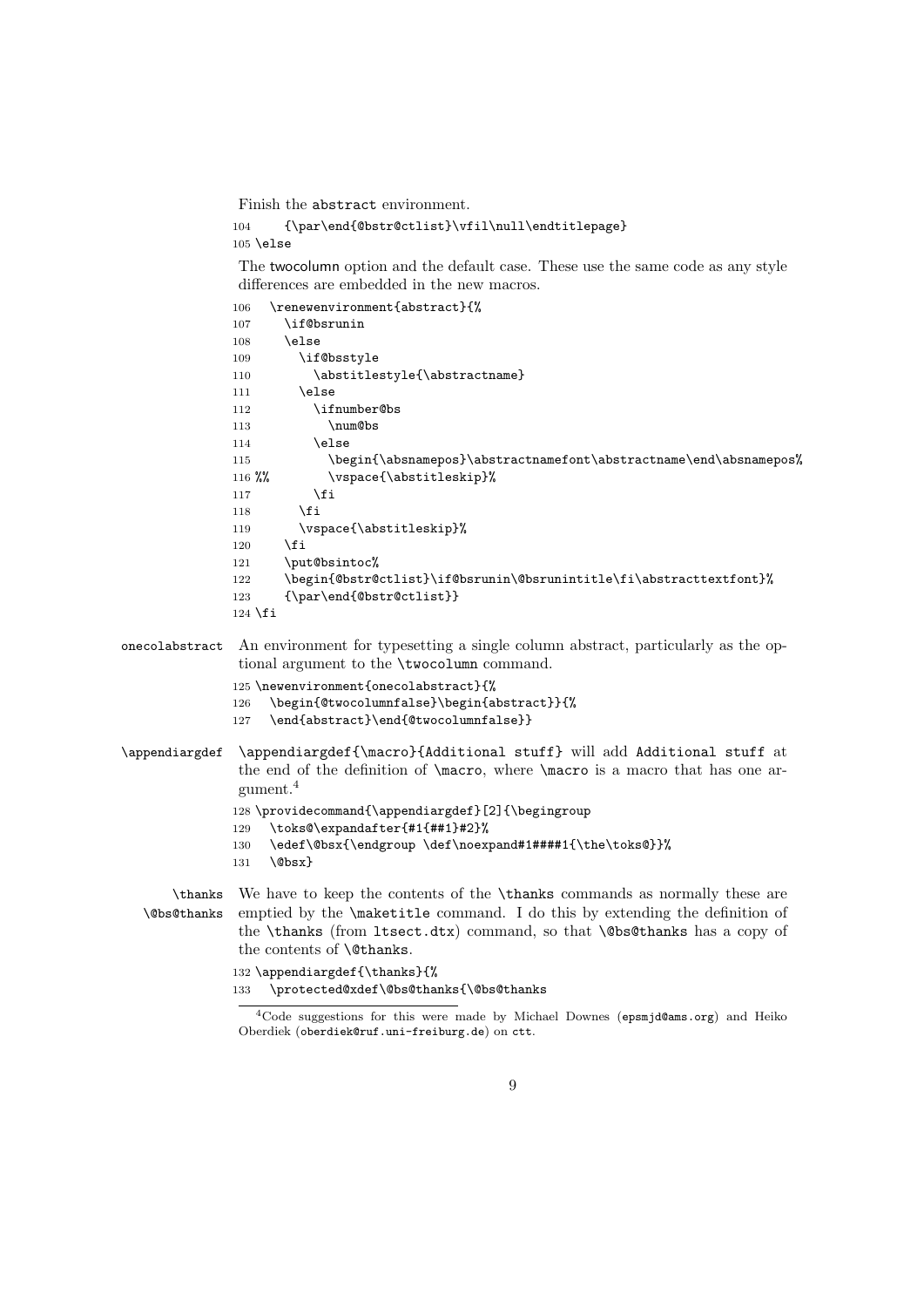Finish the abstract environment.

```
104 {\par\end{@bstr@ctlist}\vfil\null\endtitlepage}
105 \else
```
The twocolumn option and the default case. These use the same code as any style differences are embedded in the new macros.

```
106 \renewenvironment{abstract}{%
              107 \if@bsrunin
              108 \text{le}109 \if@bsstyle
              110 \abstitlestyle{\abstractname}
              111 \else
              112 \ifnumber@bs
              113 \num@bs
             114 \else
             115 \begin{\absnamepos}\abstractnamefont\abstractname\end\absnamepos%
             116 %% \vspace{\abstitleskip}%
             117 \fi
             118 \fi
             119 \vspace{\abstitleskip}%
             120 \fi
             121 \put@bsintoc%
              122 \begin{@bstr@ctlist}\if@bsrunin\@bsrunintitle\fi\abstracttextfont}%
              123 {\par\end{@bstr@ctlist}}
              124 \fi
onecolabstract An environment for typesetting a single column abstract, particularly as the op-
              tional argument to the \twocolumn command.
              125 \newenvironment{onecolabstract}{%
             126 \begin{@twocolumnfalse}\begin{abstract}}{%
              127 \end{abstract}\end{@twocolumnfalse}}
\appendiargdef \appendiargdef{\macro}{Additional stuff} will add Additional stuff at
              the end of the definition of \macro, where \macro is a macro that has one ar-
```

```
gument.4
```
128 \providecommand{\appendiargdef}[2]{\begingroup

- 129 \toks@\expandafter{#1{##1}#2}%
- 130 \edef\@bsx{\endgroup \def\noexpand#1####1{\the\toks@}}%
- 131 \@bsx}

\thanks We have to keep the contents of the \thanks commands as normally these are \@bs@thanks emptied by the \maketitle command. I do this by extending the definition of the \thanks (from ltsect.dtx) command, so that \@bs@thanks has a copy of the contents of \@thanks.

```
132 \appendiargdef{\thanks}{%
133 \protected@xdef\@bs@thanks{\@bs@thanks
```
<sup>4</sup>Code suggestions for this were made by Michael Downes (epsmjd@ams.org) and Heiko Oberdiek (oberdiek@ruf.uni-freiburg.de) on ctt.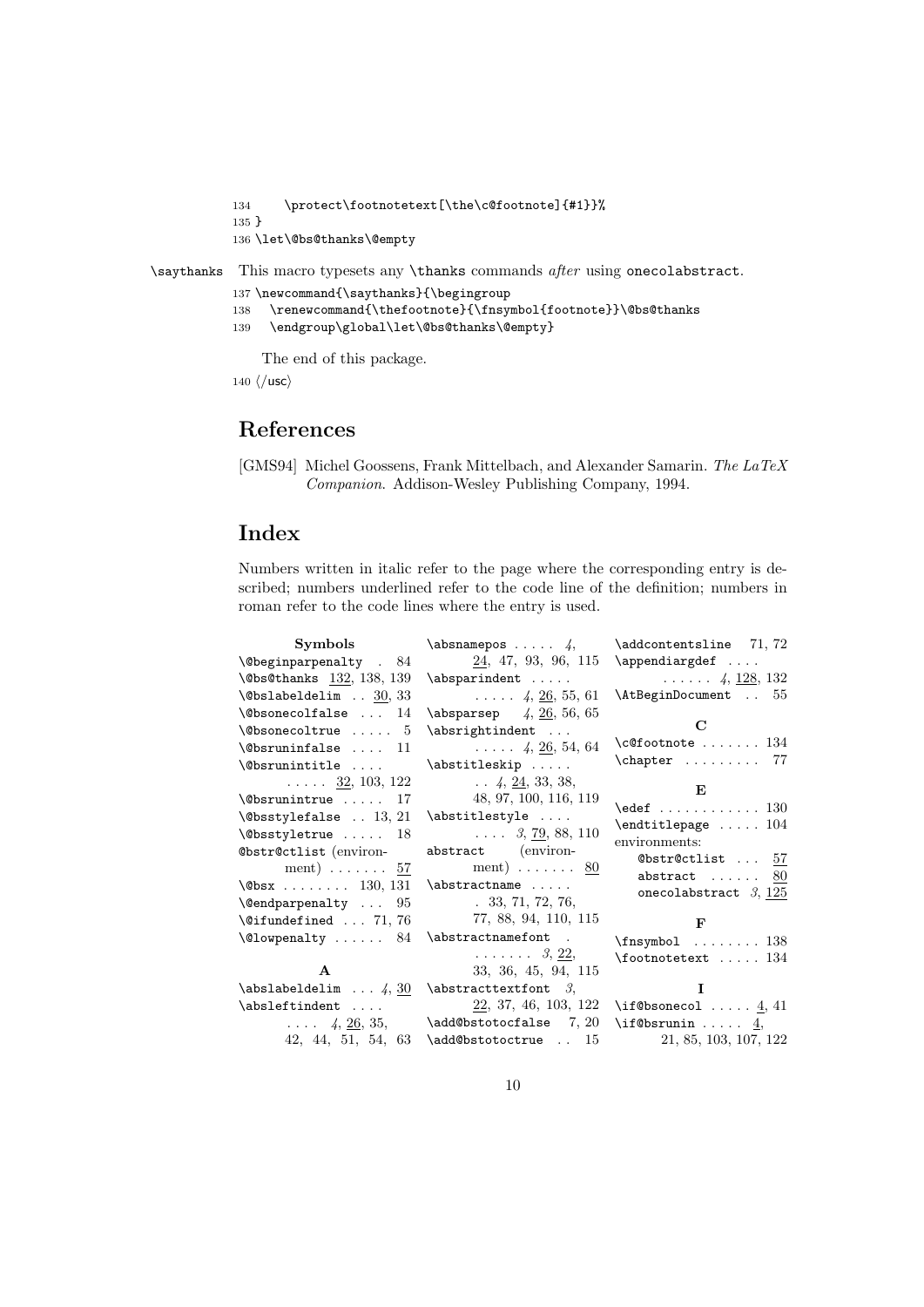```
134 \protect\footnotetext[\the\c@footnote]{#1}}%
135 }
136 \let\@bs@thanks\@empty
```
\saythanks This macro typesets any \thanks commands after using onecolabstract.

```
137 \newcommand{\saythanks}{\begingroup
```
- 138 \renewcommand{\thefootnote}{\fnsymbol{footnote}}\@bs@thanks
- 139 \endgroup\global\let\@bs@thanks\@empty}

The end of this package.

140  $\langle$ /usc $\rangle$ 

## References

[GMS94] Michel Goossens, Frank Mittelbach, and Alexander Samarin. The LaTeX Companion. Addison-Wesley Publishing Company, 1994.

# Index

Numbers written in italic refer to the page where the corresponding entry is described; numbers underlined refer to the code line of the definition; numbers in roman refer to the code lines where the entry is used.

| Symbols                                   | $\lambda$ 4,                                      | $\adponentesline 71, 72$                                                                       |
|-------------------------------------------|---------------------------------------------------|------------------------------------------------------------------------------------------------|
| $\text{Obeginparpenalty}$ . 84            | 24, 47, 93, 96, 115                               | $\alpha$ \appendiargdef                                                                        |
| $\Delta$ 950thanks $132, 138, 139$        | $\aboparithdent \ldots$                           | $\ldots$ . 4, 128, 132                                                                         |
| $\Delta$ bslabeldelim  30, 33             | $\ldots$ 4, 26, 55, 61                            | \AtBeginDocument  55                                                                           |
| $\Diamond$ bsonecolfalse  14              | $\{\abop{\text{absparsep}} \quad 4, 26, 56, 65\}$ |                                                                                                |
| $\Diamond$ bsonecoltrue  5                | \absrightindent                                   | $\mathbf C$                                                                                    |
| $\text{Observu}$ ninfalse  11             | $\ldots$ 4, 26, 54, 64                            | $\c{ofootnote} \dots \dots \ 134$                                                              |
| \@bsrunintitle                            | \abstitleskip                                     | $\begin{bmatrix} \text{Chapter} & \text{if} & \text{if} & \text{if} & \text{if} \end{bmatrix}$ |
| $\ldots$ $\frac{32}{2}, 103, 122$         | $\ldots$ 4, 24, 33, 38,                           | E                                                                                              |
| $\&$ Srunintrue  17                       | 48, 97, 100, 116, 119                             | $\text{led}$ 130                                                                               |
| $\backslash$ @bsstylefalse  13, 21        | \abstitlestyle                                    |                                                                                                |
| $\text{Obsstyletrule} \dots 18$           | $\ldots$ 3, 79, 88, 110                           | $\end{titlepage \ldots 104}$<br>environments:                                                  |
| @bstr@ctlist (environ-                    | abstract (environ-                                | @bstr@ctlist  57                                                                               |
| ment) $\ldots \ldots 57$                  | ment) $\ldots \ldots 80$                          | abstract $\ldots \ldots \frac{80}{3}$                                                          |
| $\text{Obsx}$ 130, 131                    | $\lambda$ :                                       | onecolabstract $3, 125$                                                                        |
| $\text{Qendparpenalty} \dots 95$          | 33, 71, 72, 76,                                   |                                                                                                |
| $\text{^\circ}$ 71, 76                    | 77, 88, 94, 110, 115                              | $\mathbf{F}$                                                                                   |
| $\text{Quowpenalty} \dots \dots \quad 84$ | \abstractnamefont .                               | $\frac{138}{$                                                                                  |
|                                           | $\ldots \ldots 3, 22,$                            | $\setminus$ footnotetext  134                                                                  |
| $\mathbf{A}$                              | 33, 36, 45, 94, 115                               |                                                                                                |
| $\ab{slabeldelim  4, 30}$                 | $\lambda$ > $\lambda$                             | I                                                                                              |
| \absleftindent                            |                                                   | $22, 37, 46, 103, 122 \text{ (if@bsonecol  4, 41)}$                                            |
| $\ldots$ 4, 26, 35,                       | $\lambda$ dd@bstotocfalse $7, 20$                 | $\iota$ : f@bsrunin $\underline{4}$ ,                                                          |
| 42, 44, 51, 54, 63                        | \add@bstotoctrue  15                              | 21, 85, 103, 107, 122                                                                          |
|                                           |                                                   |                                                                                                |